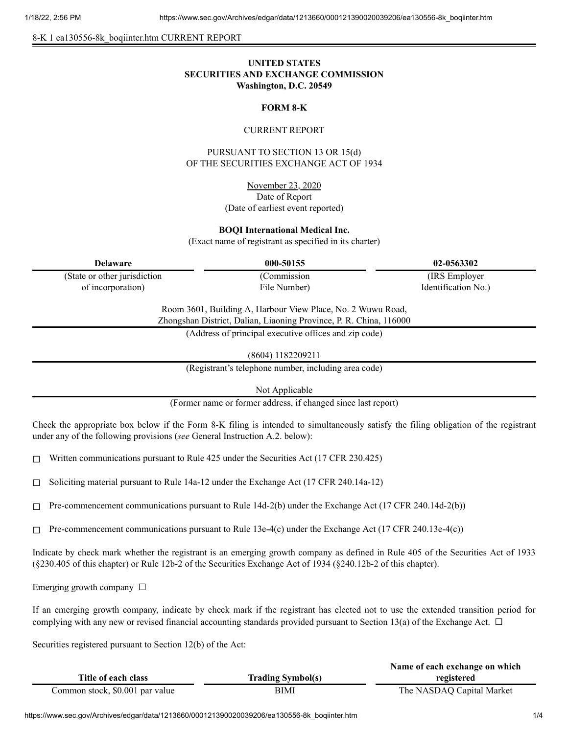8-K 1 ea130556-8k\_boqiinter.htm CURRENT REPORT

# **UNITED STATES SECURITIES AND EXCHANGE COMMISSION Washington, D.C. 20549**

### **FORM 8-K**

#### CURRENT REPORT

PURSUANT TO SECTION 13 OR 15(d) OF THE SECURITIES EXCHANGE ACT OF 1934

> November 23, 2020 Date of Report (Date of earliest event reported)

#### **BOQI International Medical Inc.**

(Exact name of registrant as specified in its charter)

(State or other jurisdiction of incorporation)

(Commission

**Delaware 000-50155 02-0563302** (IRS Employer Identification No.)

> Room 3601, Building A, Harbour View Place, No. 2 Wuwu Road, Zhongshan District, Dalian, Liaoning Province, P. R. China, 116000

File Number)

(Address of principal executive offices and zip code)

(8604) 1182209211

(Registrant's telephone number, including area code)

Not Applicable

(Former name or former address, if changed since last report)

Check the appropriate box below if the Form 8-K filing is intended to simultaneously satisfy the filing obligation of the registrant under any of the following provisions (*see* General Instruction A.2. below):

 $\Box$  Written communications pursuant to Rule 425 under the Securities Act (17 CFR 230.425)

 $\Box$  Soliciting material pursuant to Rule 14a-12 under the Exchange Act (17 CFR 240.14a-12)

 $\Box$  Pre-commencement communications pursuant to Rule 14d-2(b) under the Exchange Act (17 CFR 240.14d-2(b))

 $\Box$  Pre-commencement communications pursuant to Rule 13e-4(c) under the Exchange Act (17 CFR 240.13e-4(c))

Indicate by check mark whether the registrant is an emerging growth company as defined in Rule 405 of the Securities Act of 1933 (§230.405 of this chapter) or Rule 12b-2 of the Securities Exchange Act of 1934 (§240.12b-2 of this chapter).

Emerging growth company  $\Box$ 

If an emerging growth company, indicate by check mark if the registrant has elected not to use the extended transition period for complying with any new or revised financial accounting standards provided pursuant to Section 13(a) of the Exchange Act.  $\Box$ 

Securities registered pursuant to Section 12(b) of the Act:

|                                 |                          | Name of each exchange on which |
|---------------------------------|--------------------------|--------------------------------|
| Title of each class             | <b>Trading Symbol(s)</b> | registered                     |
| Common stock, \$0.001 par value | BIMI                     | The NASDAQ Capital Market      |

https://www.sec.gov/Archives/edgar/data/1213660/000121390020039206/ea130556-8k\_boqiinter.htm 1/4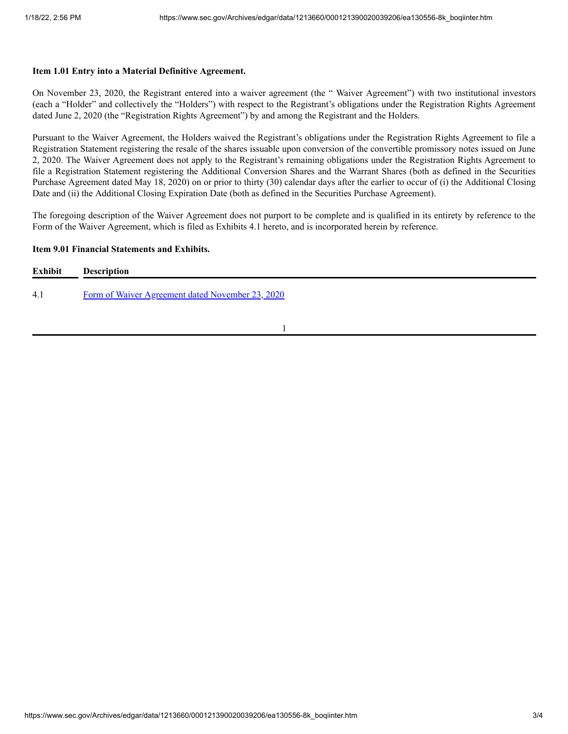#### **Item 1.01 Entry into a Material Definitive Agreement.**

On November 23, 2020, the Registrant entered into a waiver agreement (the " Waiver Agreement") with two institutional investors (each a "Holder" and collectively the "Holders") with respect to the Registrant's obligations under the Registration Rights Agreement dated June 2, 2020 (the "Registration Rights Agreement") by and among the Registrant and the Holders.

Pursuant to the Waiver Agreement, the Holders waived the Registrant's obligations under the Registration Rights Agreement to file a Registration Statement registering the resale of the shares issuable upon conversion of the convertible promissory notes issued on June 2, 2020. The Waiver Agreement does not apply to the Registrant's remaining obligations under the Registration Rights Agreement to file a Registration Statement registering the Additional Conversion Shares and the Warrant Shares (both as defined in the Securities Purchase Agreement dated May 18, 2020) on or prior to thirty (30) calendar days after the earlier to occur of (i) the Additional Closing Date and (ii) the Additional Closing Expiration Date (both as defined in the Securities Purchase Agreement).

The foregoing description of the Waiver Agreement does not purport to be complete and is qualified in its entirety by reference to the Form of the Waiver Agreement, which is filed as Exhibits 4.1 hereto, and is incorporated herein by reference.

#### **Item 9.01 Financial Statements and Exhibits.**

| <b>Exhibit</b> | <b>Description</b>                               |
|----------------|--------------------------------------------------|
| 4.1            | Form of Waiver Agreement dated November 23, 2020 |

1